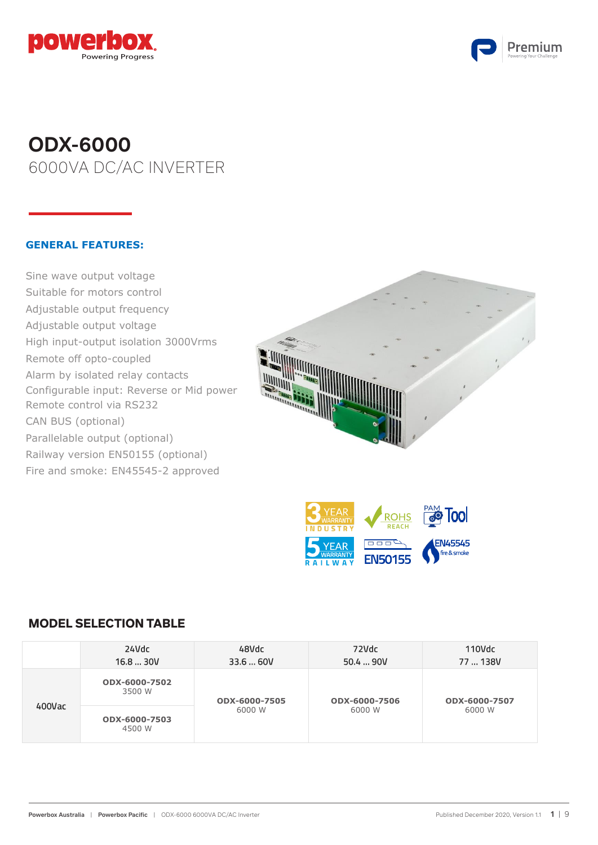



# **ODX-6000** 6000VA DC/AC INVERTER

### **GENERAL FEATURES:**

Sine wave output voltage Suitable for motors control Adjustable output frequency en die voltooi<br>Adjustable output voltage High input-output isolation 3000Vrms Remote off opto-coupled Alarm by isolated relay contacts Configurable input: Reverse or Mid power Remote control via RS232 CAN BUS (optional) Parallelable output (optional) Railway version EN50155 (optional) Fire and smoke: EN45545-2 approved configurable input:  $\mathbb{R}$ 





#### **MODEL SELECTION TABLE**

|        | 24Vdc<br>16.830V        | 48Vdc<br>33.6  60V | 72Vdc<br>50.4  90V | 110Vdc<br>77  138V |  |
|--------|-------------------------|--------------------|--------------------|--------------------|--|
|        | ODX-6000-7502<br>3500 W | ODX-6000-7505      | ODX-6000-7506      | ODX-6000-7507      |  |
| 400Vac | ODX-6000-7503<br>4500 W | 6000 W             | 6000 W             | 6000 W             |  |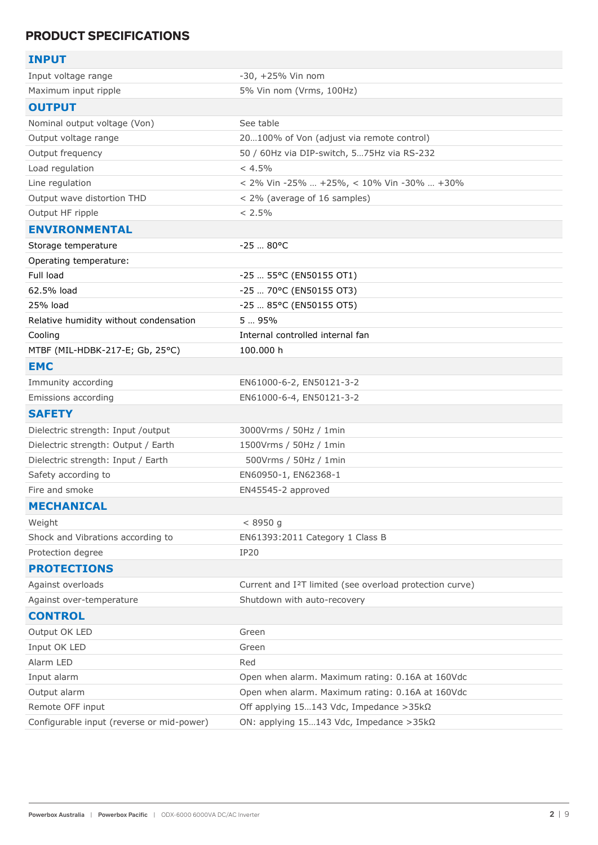# **PRODUCT SPECIFICATIONS**

| <b>INPUT</b>                              |                                                                      |
|-------------------------------------------|----------------------------------------------------------------------|
| Input voltage range                       | $-30, +25%$ Vin nom                                                  |
| Maximum input ripple                      | 5% Vin nom (Vrms, 100Hz)                                             |
| <b>OUTPUT</b>                             |                                                                      |
| Nominal output voltage (Von)              | See table                                                            |
| Output voltage range                      | 20100% of Von (adjust via remote control)                            |
| Output frequency                          | 50 / 60Hz via DIP-switch, 575Hz via RS-232                           |
| Load regulation                           | < 4.5%                                                               |
| Line regulation                           | < 2% Vin -25%  +25%, < 10% Vin -30%  +30%                            |
| Output wave distortion THD                | < 2% (average of 16 samples)                                         |
| Output HF ripple                          | < 2.5%                                                               |
| <b>ENVIRONMENTAL</b>                      |                                                                      |
| Storage temperature                       | $-25$ 80°C                                                           |
| Operating temperature:                    |                                                                      |
| Full load                                 | $-25$ 55°C (EN50155 OT1)                                             |
| 62.5% load                                | -25  70°C (EN50155 OT3)                                              |
| 25% load                                  | -25  85°C (EN50155 OT5)                                              |
| Relative humidity without condensation    | 5  95%                                                               |
| Cooling                                   | Internal controlled internal fan                                     |
| MTBF (MIL-HDBK-217-E; Gb, 25°C)           | 100.000 h                                                            |
| <b>EMC</b>                                |                                                                      |
| Immunity according                        | EN61000-6-2, EN50121-3-2                                             |
| Emissions according                       | EN61000-6-4, EN50121-3-2                                             |
| <b>SAFETY</b>                             |                                                                      |
| Dielectric strength: Input /output        | 3000Vrms / 50Hz / 1min                                               |
| Dielectric strength: Output / Earth       | 1500Vrms / 50Hz / 1min                                               |
| Dielectric strength: Input / Earth        | 500Vrms / 50Hz / 1min                                                |
| Safety according to                       | EN60950-1, EN62368-1                                                 |
| Fire and smoke                            | EN45545-2 approved                                                   |
| <b>MECHANICAL</b>                         |                                                                      |
| Weight                                    | < 8950 g                                                             |
| Shock and Vibrations according to         | EN61393:2011 Category 1 Class B                                      |
| Protection degree                         | <b>IP20</b>                                                          |
| <b>PROTECTIONS</b>                        |                                                                      |
| Against overloads                         | Current and I <sup>2</sup> T limited (see overload protection curve) |
| Against over-temperature                  | Shutdown with auto-recovery                                          |
| <b>CONTROL</b>                            |                                                                      |
| Output OK LED                             | Green                                                                |
| Input OK LED                              | Green                                                                |
| Alarm LED                                 | Red                                                                  |
| Input alarm                               | Open when alarm. Maximum rating: 0.16A at 160Vdc                     |
| Output alarm                              | Open when alarm. Maximum rating: 0.16A at 160Vdc                     |
| Remote OFF input                          | Off applying $15143$ Vdc, Impedance > 35k $\Omega$                   |
| Configurable input (reverse or mid-power) | ON: applying $15143$ Vdc, Impedance > 35k $\Omega$                   |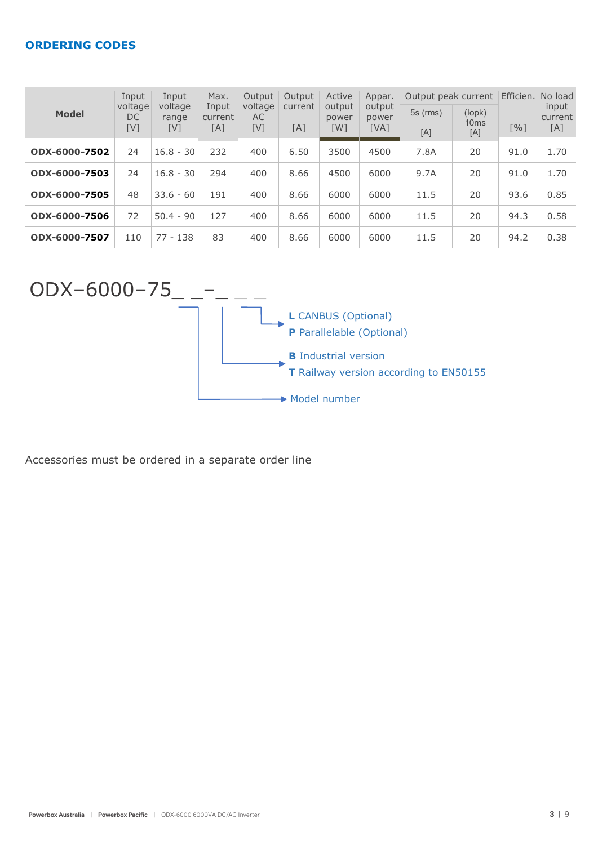## **ORDERING CODES**

| <b>Model</b>  | Input<br>voltage<br>DC<br>[V] | Input<br>voltage<br>range<br>[V] | Max.<br>Input<br>current<br>[A] | Output<br>voltage<br>AC<br>[V] | Output<br>current<br>[A] | Active<br>output<br>power<br>[W] | Appar.<br>output<br>power<br>[VA] | Output peak current<br>$5s$ (rms)<br>[A] | (lopk)<br>10 <sub>ms</sub><br>[A] | Efficien. No load<br>[%] | input<br>current<br>[A] |
|---------------|-------------------------------|----------------------------------|---------------------------------|--------------------------------|--------------------------|----------------------------------|-----------------------------------|------------------------------------------|-----------------------------------|--------------------------|-------------------------|
| ODX-6000-7502 | 24                            | $16.8 - 30$                      | 232                             | 400                            | 6.50                     | 3500                             | 4500                              | 7.8A                                     | 20                                | 91.0                     | 1.70                    |
| ODX-6000-7503 | 24                            | $16.8 - 30$                      | 294                             | 400                            | 8.66                     | 4500                             | 6000                              | 9.7A                                     | 20                                | 91.0                     | 1.70                    |
| ODX-6000-7505 | 48                            | $33.6 - 60$                      | 191                             | 400                            | 8.66                     | 6000                             | 6000                              | 11.5                                     | 20                                | 93.6                     | 0.85                    |
| ODX-6000-7506 | 72                            | $50.4 - 90$                      | 127                             | 400                            | 8.66                     | 6000                             | 6000                              | 11.5                                     | 20                                | 94.3                     | 0.58                    |
| ODX-6000-7507 | 110                           | $77 - 138$                       | 83                              | 400                            | 8.66                     | 6000                             | 6000                              | 11.5                                     | 20                                | 94.2                     | 0.38                    |



Accessories must be ordered in a separate order line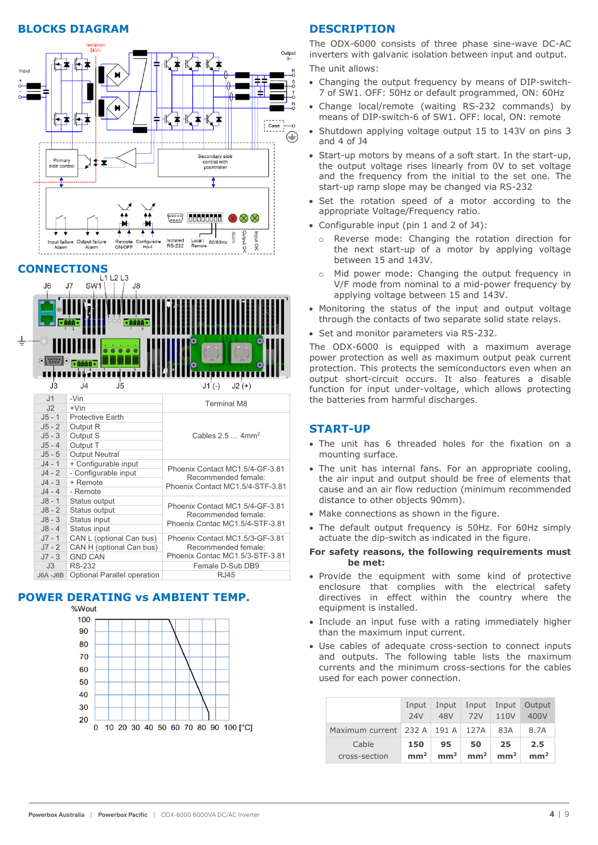#### **BLOCKS DIAGRAM**



# **CONNECTIONS**



# **POWER DERATING VS AMBIENT TEMP.**



#### **DESCRIPTION**

The ODX-6000 consists of three phase sine-wave DC-AC inverters with galvanic isolation between input and output. The unit allows:

- Changing the output frequency by means of DIP-switch-7 of SW1. OFF: 50Hz or default programmed, ON: 60Hz
- Change local/remote (waiting RS-232 commands) by means of DIP-switch-6 of SW1. OFF: local, ON: remote
- Shutdown applying voltage output 15 to 143V on pins 3 and 4 of J4
- Start-up motors by means of a soft start. In the start-up, the output voltage rises linearly from 0V to set voltage and the frequency from the initial to the set one. The start-up ramp slope may be changed via RS-232
- Set the rotation speed of a motor according to the appropriate Voltage/Frequency ratio.
- Configurable input (pin 1 and 2 of J4):
	- o Reverse mode: Changing the rotation direction for the next start-up of a motor by applying voltage between 15 and 143V.
	- o Mid power mode: Changing the output frequency in V/F mode from nominal to a mid-power frequency by applying voltage between 15 and 143V.
- Monitoring the status of the input and output voltage through the contacts of two separate solid state relays.
- Set and monitor parameters via RS-232.

The ODX-6000 is equipped with a maximum average power protection as well as maximum output peak current protection. This protects the semiconductors even when an output short-circuit occurs. It also features a disable function for input under-voltage, which allows protecting the batteries from harmful discharges.

#### **START-UP**

- The unit has 6 threaded holes for the fixation on a mounting surface.
- The unit has internal fans. For an appropriate cooling, the air input and output should be free of elements that cause and an air flow reduction (minimum recommended distance to other objects 90mm).
- Make connections as shown in the figure.
- The default output frequency is 50Hz. For 60Hz simply actuate the dip-switch as indicated in the figure.
- **For safety reasons, the following requirements must be met:**
- Provide the equipment with some kind of protective enclosure that complies with the electrical safety directives in effect within the country where the equipment is installed.
- Include an input fuse with a rating immediately higher than the maximum input current.
- Use cables of adequate cross-section to connect inputs and outputs. The following table lists the maximum currents and the minimum cross-sections for the cables used for each power connection.

|                                        | Input           | Input           | Input           | Input           | Output          |
|----------------------------------------|-----------------|-----------------|-----------------|-----------------|-----------------|
|                                        | <b>24V</b>      | 48V             | 72V             | 110V            | 400V            |
| Maximum current $232 A   191 A   127A$ |                 |                 |                 | 83A             | 8.7A            |
| Cable                                  | 150             | 95              | 50              | 25              | 2.5             |
| cross-section                          | mm <sup>2</sup> | mm <sup>2</sup> | mm <sup>2</sup> | mm <sup>2</sup> | mm <sup>2</sup> |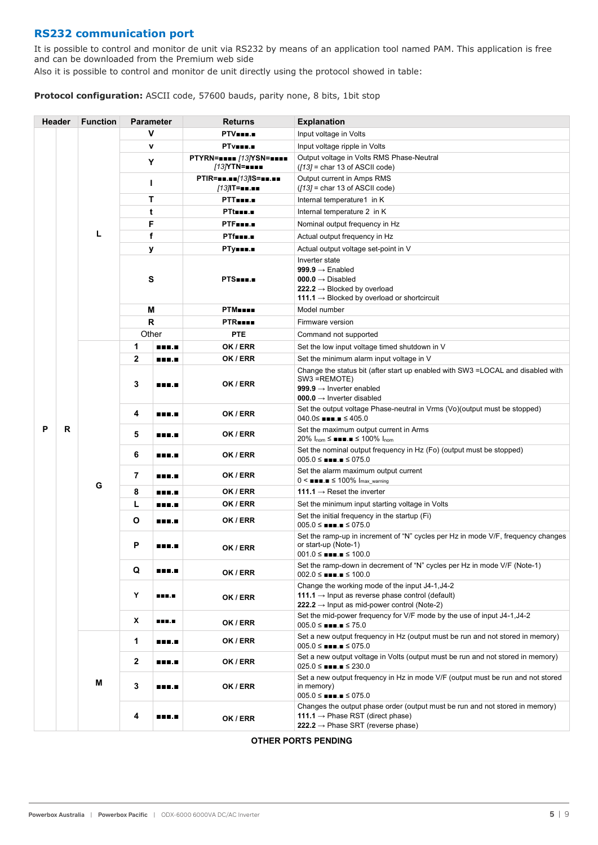## **RS232 communication port**

It is possible to control and monitor de unit via RS232 by means of an application tool named PAM. This application is free and can be downloaded from the Premium web side

Also it is possible to control and monitor de unit directly using the protocol showed in table:

**Protocol configuration:** ASCII code, 57600 bauds, parity none, 8 bits, 1bit stop

|   | <b>Header</b> | <b>Function</b> | <b>Parameter</b> |              | <b>Returns</b>                          | <b>Explanation</b>                                                                                                                                                                  |
|---|---------------|-----------------|------------------|--------------|-----------------------------------------|-------------------------------------------------------------------------------------------------------------------------------------------------------------------------------------|
|   |               |                 | v                |              | PTV <b>ERE.</b>                         | Input voltage in Volts                                                                                                                                                              |
|   |               |                 | v                |              | PTv <b>ess.</b>                         | Input voltage ripple in Volts                                                                                                                                                       |
|   |               |                 | Υ                |              | PTYRN===== /13/YSN=====<br>[13]YTN=■■■■ | Output voltage in Volts RMS Phase-Neutral<br>$(13)$ = char 13 of ASCII code)                                                                                                        |
|   |               |                 | ı                |              | PTIR===.==/13/IS===.==<br>/13/IT===.==  | Output current in Amps RMS<br>$(13)$ = char 13 of ASCII code)                                                                                                                       |
|   |               |                 | т                |              | PTT                                     | Internal temperature1 in K                                                                                                                                                          |
|   |               |                 | t                |              | PTtom.c                                 | Internal temperature 2 in K                                                                                                                                                         |
|   |               |                 | F                |              | PTF                                     | Nominal output frequency in Hz                                                                                                                                                      |
|   |               | L               |                  | f            | PTfmm.m                                 | Actual output frequency in Hz                                                                                                                                                       |
|   |               |                 | У                |              | РТу∎∎∎.∎                                | Actual output voltage set-point in V                                                                                                                                                |
|   |               |                 | $\mathbf{s}$     |              | PTS                                     | Inverter state<br>999.9 $\rightarrow$ Enabled<br>$000.0 \rightarrow$ Disabled<br>222.2 $\rightarrow$ Blocked by overload<br>111.1 $\rightarrow$ Blocked by overload or shortcircuit |
|   |               |                 | М                |              | <b>PTM</b>                              | Model number                                                                                                                                                                        |
|   |               |                 | $\mathsf{R}$     |              | <b>PTR</b>                              | Firmware version                                                                                                                                                                    |
|   |               |                 | Other            |              | PTE                                     | Command not supported                                                                                                                                                               |
|   |               |                 | 1                | <b>THE.A</b> | OK / ERR                                | Set the low input voltage timed shutdown in V                                                                                                                                       |
|   |               |                 | $\mathbf{2}$     | <b>THE.A</b> | OK / ERR                                | Set the minimum alarm input voltage in V                                                                                                                                            |
| P |               |                 | 3                | .            | OK / ERR                                | Change the status bit (after start up enabled with SW3 = LOCAL and disabled with<br>SW3 =REMOTE)<br>999.9 $\rightarrow$ Inverter enabled<br>000.0 $\rightarrow$ Inverter disabled   |
|   |               |                 | 4                | <b>HELL</b>  | OK / ERR                                | Set the output voltage Phase-neutral in Vrms (Vo)(output must be stopped)<br>$040.0 \leq$ <b>NNM</b> <sub>1</sub> $\leq 405.0$                                                      |
|   | R             |                 | 5                | <b>REB.A</b> | OK / ERR                                | Set the maximum output current in Arms<br>20% $I_{\text{nom}} \leq \blacksquare \blacksquare \blacksquare \preceq 100\%$ $I_{\text{nom}}$                                           |
|   |               |                 | 6                | <b>BRE.D</b> | OK / ERR                                | Set the nominal output frequency in Hz (Fo) (output must be stopped)<br>$005.0 \leq \bullet \bullet \bullet \bullet \bullet \leq 075.0$                                             |
|   |               | G               | 7                | <b>BRE.D</b> | OK / ERR                                | Set the alarm maximum output current<br>$0 \leq \blacksquare \blacksquare \blacksquare \blacksquare \leq 100\%$ $I_{\text{max}}$ warning                                            |
|   |               |                 | 8                | <b>THE.A</b> | OK / ERR                                | 111.1 $\rightarrow$ Reset the inverter                                                                                                                                              |
|   |               |                 | L                | <b>THE.A</b> | OK / ERR                                | Set the minimum input starting voltage in Volts                                                                                                                                     |
|   |               |                 | O                | <b>HELL</b>  | OK / ERR                                | Set the initial frequency in the startup (Fi)<br>$005.0 \leq$ = $\blacksquare$ . $\blacksquare \leq 075.0$                                                                          |
|   |               |                 | P<br><b>.</b>    |              | OK / ERR                                | Set the ramp-up in increment of "N" cycles per Hz in mode V/F, frequency changes<br>or start-up (Note-1)<br>$001.0 \leq$ = $\blacksquare$ . $\blacksquare$ $\leq$ 100.0             |
|   |               |                 | Q                | <b>BRE.D</b> | OK / ERR                                | Set the ramp-down in decrement of "N" cycles per Hz in mode V/F (Note-1)<br>$002.0 \leq$ <b>No. 100.0</b>                                                                           |
|   |               |                 | Υ                | <b>BEE.E</b> | OK / ERR                                | Change the working mode of the input J4-1, J4-2<br>111.1 $\rightarrow$ Input as reverse phase control (default)<br>222.2 $\rightarrow$ Input as mid-power control (Note-2)          |
|   |               |                 | X                | <b>BEE.E</b> | OK / ERR                                | Set the mid-power frequency for V/F mode by the use of input J4-1, J4-2<br>$005.0 \leq$ <b>Nine</b> . $\blacksquare \leq 75.0$                                                      |
|   |               |                 | 1                | <b>BRE.D</b> | OK / ERR                                | Set a new output frequency in Hz (output must be run and not stored in memory)<br>$005.0 \leq \bullet \bullet \bullet \bullet \bullet \leq 075.0$                                   |
|   |               |                 | $\mathbf{2}$     | <b>HELL</b>  | OK / ERR                                | Set a new output voltage in Volts (output must be run and not stored in memory)<br>$025.0 \leq \bullet \bullet \bullet \bullet \bullet \leq 230.0$                                  |
|   |               | М               | $\mathbf 3$      | <b>BRE.D</b> | OK / ERR                                | Set a new output frequency in Hz in mode V/F (output must be run and not stored<br>in memory)<br>$005.0 \leq \bullet \bullet \bullet \bullet \bullet \leq 075.0$                    |
|   |               |                 | 4                | 888.E        | OK / ERR                                | Changes the output phase order (output must be run and not stored in memory)<br>111.1 $\rightarrow$ Phase RST (direct phase)<br>222.2 $\rightarrow$ Phase SRT (reverse phase)       |

#### **OTHER PORTS PENDING**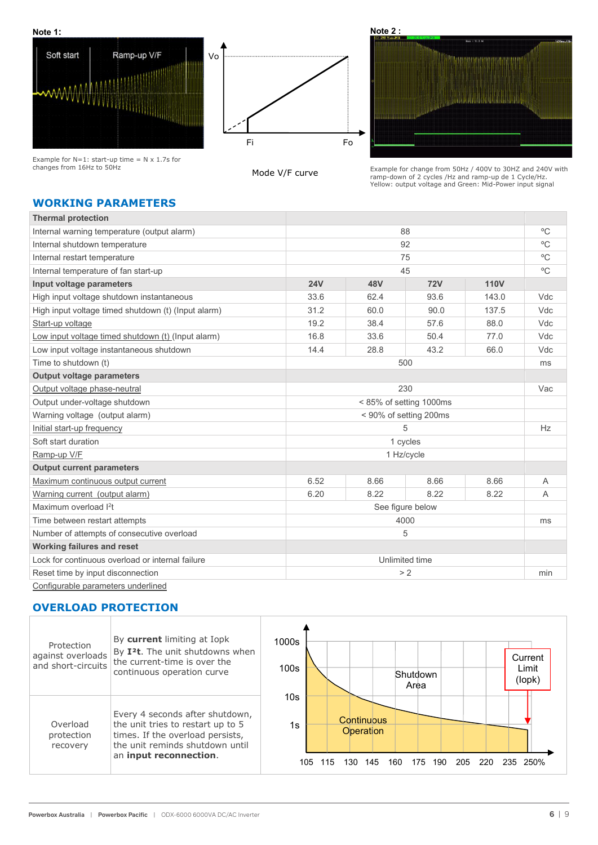





Example for  $N=1$ : start-up time =  $N \times 1.7$ s for changes from 16Hz to 50Hz

#### Mode V/F curve

Example for change from 50Hz / 400V to 30HZ and 240V with ramp-down of 2 cycles /Hz and ramp-up de 1 Cycle/Hz. Yellow: output voltage and Green: Mid-Power input signal

# **WORKING PARAMETERS**

| <b>Thermal protection</b>                           |                         |      |                |             |              |
|-----------------------------------------------------|-------------------------|------|----------------|-------------|--------------|
| Internal warning temperature (output alarm)         |                         |      | 88             |             | $^{\circ}$ C |
| Internal shutdown temperature                       |                         |      | 92             |             | $^{\circ}$ C |
| Internal restart temperature                        |                         |      | 75             |             | $^{\circ}$ C |
| Internal temperature of fan start-up                |                         |      | 45             |             | $^{\circ}C$  |
| Input voltage parameters                            | <b>24V</b>              | 48V  | <b>72V</b>     | <b>110V</b> |              |
| High input voltage shutdown instantaneous           | 33.6                    | 62.4 | 93.6           | 143.0       | Vdc          |
| High input voltage timed shutdown (t) (Input alarm) | 31.2                    | 60.0 | 90.0           | 137.5       | Vdc          |
| Start-up voltage                                    | 19.2                    | 38.4 | 57.6           | 88.0        | Vdc          |
| Low input voltage timed shutdown (t) (Input alarm)  | 16.8                    | 33.6 | 50.4           | 77.0        | Vdc          |
| Low input voltage instantaneous shutdown            | 14.4                    | 28.8 | 43.2           | 66.0        | Vdc          |
| Time to shutdown (t)                                |                         |      | 500            |             | ms           |
| <b>Output voltage parameters</b>                    |                         |      |                |             |              |
| Output voltage phase-neutral                        | 230                     |      |                |             | Vac          |
| Output under-voltage shutdown                       | < 85% of setting 1000ms |      |                |             |              |
| Warning voltage (output alarm)                      | < 90% of setting 200ms  |      |                |             |              |
| Initial start-up frequency                          |                         |      | 5              |             | Hz           |
| Soft start duration                                 |                         |      | 1 cycles       |             |              |
| Ramp-up V/F                                         |                         |      | 1 Hz/cycle     |             |              |
| <b>Output current parameters</b>                    |                         |      |                |             |              |
| Maximum continuous output current                   | 6.52                    | 8.66 | 8.66           | 8.66        | A            |
| Warning current (output alarm)                      | 6.20                    | 8.22 | 8.22           | 8.22        | A            |
| Maximum overload l <sup>2</sup> t                   | See figure below        |      |                |             |              |
| Time between restart attempts                       | 4000                    |      |                | ms          |              |
| Number of attempts of consecutive overload<br>5     |                         |      |                |             |              |
| <b>Working failures and reset</b>                   |                         |      |                |             |              |
| Lock for continuous overload or internal failure    |                         |      | Unlimited time |             |              |
| Reset time by input disconnection                   |                         |      | > 2            |             | min          |
| Configurable parameters underlined                  |                         |      |                |             |              |

#### **OVERLOAD PROTECTION**

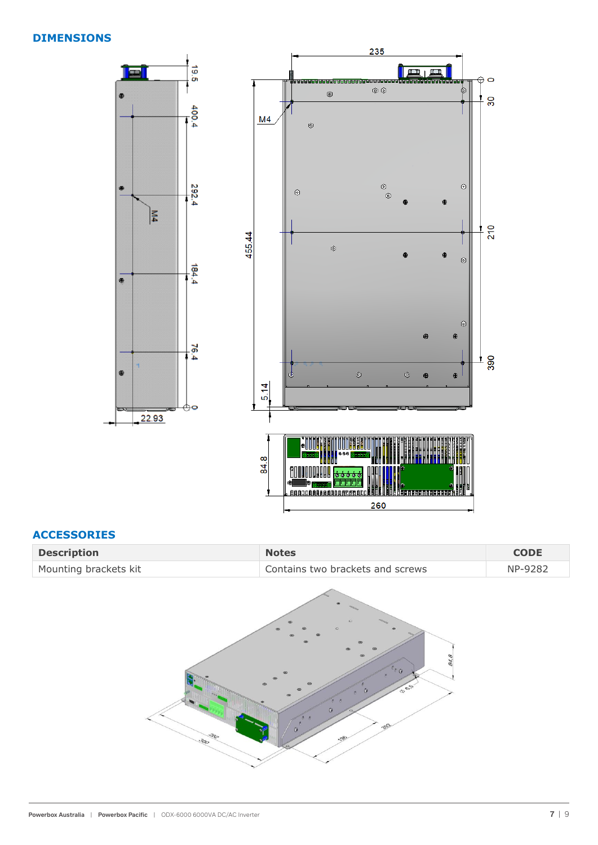#### **DIMENSIONS**



## **ACCESSORIES**

| <b>Description</b>    | <b>Notes</b>                     | <b>CODE</b> |
|-----------------------|----------------------------------|-------------|
| Mounting brackets kit | Contains two brackets and screws | NP-9282     |

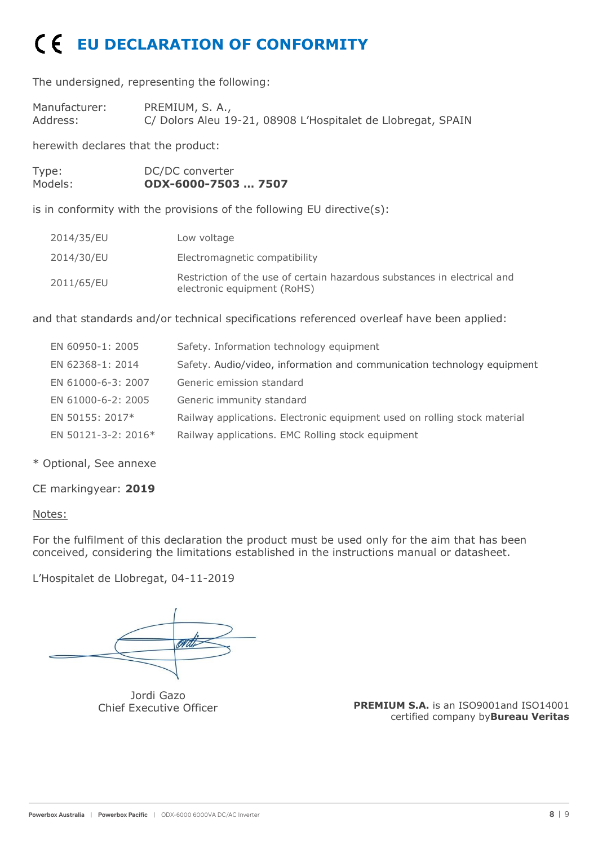# **EU DECLARATION OF CONFORMITY**

The undersigned, representing the following:

Manufacturer: PREMIUM, S. A.,<br>Address: C/ Dolors Aleu 1 C/ Dolors Aleu 19-21, 08908 L'Hospitalet de Llobregat, SPAIN

herewith declares that the product:

| Type:   | DC/DC converter     |
|---------|---------------------|
| Models: | ODX-6000-7503  7507 |

is in conformity with the provisions of the following EU directive(s):

| 2014/35/EU | Low voltage                                                                                             |
|------------|---------------------------------------------------------------------------------------------------------|
| 2014/30/EU | Electromagnetic compatibility                                                                           |
| 2011/65/EU | Restriction of the use of certain hazardous substances in electrical and<br>electronic equipment (RoHS) |

and that standards and/or technical specifications referenced overleaf have been applied:

| EN 60950-1: 2005    | Safety. Information technology equipment                                  |
|---------------------|---------------------------------------------------------------------------|
| EN 62368-1: 2014    | Safety. Audio/video, information and communication technology equipment   |
| EN 61000-6-3: 2007  | Generic emission standard                                                 |
| EN 61000-6-2: 2005  | Generic immunity standard                                                 |
| EN 50155: 2017*     | Railway applications. Electronic equipment used on rolling stock material |
| EN 50121-3-2: 2016* | Railway applications. EMC Rolling stock equipment                         |

\* Optional, See annexe

CE markingyear: **2019**

# Notes:

For the fulfilment of this declaration the product must be used only for the aim that has been conceived, considering the limitations established in the instructions manual or datasheet.

L'Hospitalet de Llobregat, 04-11-2019

Jordi Gazo Chief Executive Officer

**PREMIUM S.A.** is an ISO9001and ISO14001 certified company by**Bureau Veritas**

16-06-2020